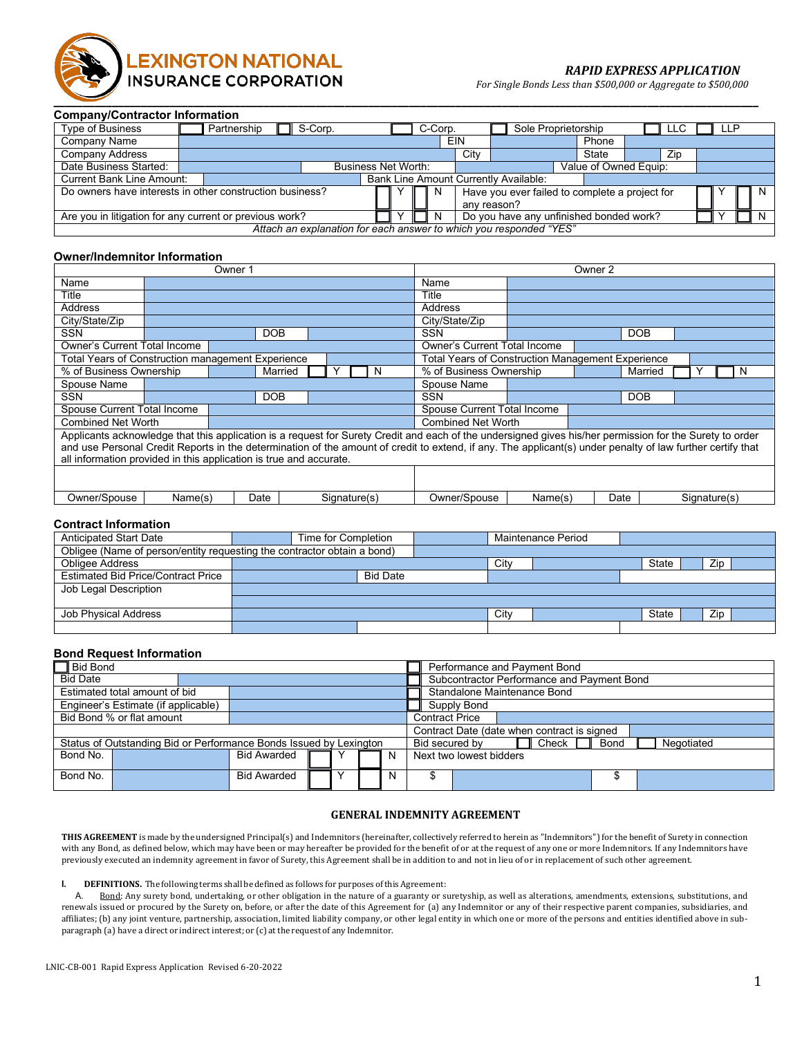

## *RAPID EXPRESS APPLICATION*

*For Single Bonds Less than \$500,000 or Aggregate to \$500,000*

#### **Company/Contractor Information**

| <b>Type of Business</b>          | Partnership                                              | S-Corp.             |  | C-Corp. |      | Sole Proprietorship                                                |                       | LLC | LLP |   |
|----------------------------------|----------------------------------------------------------|---------------------|--|---------|------|--------------------------------------------------------------------|-----------------------|-----|-----|---|
| Company Name                     |                                                          |                     |  |         | EIN  |                                                                    | Phone                 |     |     |   |
| <b>Company Address</b>           |                                                          |                     |  |         | City |                                                                    | State                 | Zip |     |   |
| Date Business Started:           |                                                          | Business Net Worth: |  |         |      |                                                                    | Value of Owned Equip: |     |     |   |
| <b>Current Bank Line Amount:</b> |                                                          |                     |  |         |      | <b>Bank Line Amount Currently Available:</b>                       |                       |     |     |   |
|                                  | Do owners have interests in other construction business? |                     |  | N.      |      | Have you ever failed to complete a project for                     |                       |     |     | N |
|                                  |                                                          |                     |  |         |      | any reason?                                                        |                       |     |     |   |
|                                  | Are you in litigation for any current or previous work?  |                     |  | N       |      | Do you have any unfinished bonded work?                            |                       |     |     |   |
|                                  |                                                          |                     |  |         |      | Attach an explanation for each answer to which you responded "YES" |                       |     |     |   |

### **Owner/Indemnitor Information**

| Owner 1                                                            |                                                   |            |            |  |              | Owner 2 |                |             |                                                                                                                                                            |            |            |         |  |  |              |  |   |
|--------------------------------------------------------------------|---------------------------------------------------|------------|------------|--|--------------|---------|----------------|-------------|------------------------------------------------------------------------------------------------------------------------------------------------------------|------------|------------|---------|--|--|--------------|--|---|
| Name                                                               |                                                   |            |            |  |              |         |                | Name        |                                                                                                                                                            |            |            |         |  |  |              |  |   |
| Title                                                              |                                                   |            |            |  |              |         |                | Title       |                                                                                                                                                            |            |            |         |  |  |              |  |   |
| <b>Address</b>                                                     |                                                   |            |            |  |              |         | Address        |             |                                                                                                                                                            |            |            |         |  |  |              |  |   |
| City/State/Zip                                                     |                                                   |            |            |  |              |         | City/State/Zip |             |                                                                                                                                                            |            |            |         |  |  |              |  |   |
| <b>SSN</b>                                                         |                                                   | <b>DOB</b> |            |  |              |         |                |             | <b>SSN</b>                                                                                                                                                 | <b>DOB</b> |            |         |  |  |              |  |   |
| <b>Owner's Current Total Income</b>                                |                                                   |            |            |  |              |         |                |             | <b>Owner's Current Total Income</b>                                                                                                                        |            |            |         |  |  |              |  |   |
|                                                                    | Total Years of Construction management Experience |            |            |  |              |         |                |             | <b>Total Years of Construction Management Experience</b>                                                                                                   |            |            |         |  |  |              |  |   |
| % of Business Ownership                                            |                                                   |            | Married    |  |              |         |                |             | % of Business Ownership                                                                                                                                    |            |            | Married |  |  |              |  | N |
| Spouse Name                                                        |                                                   |            |            |  |              |         |                | Spouse Name |                                                                                                                                                            |            |            |         |  |  |              |  |   |
| <b>SSN</b>                                                         |                                                   |            | <b>DOB</b> |  |              |         |                |             | <b>SSN</b>                                                                                                                                                 |            | <b>DOB</b> |         |  |  |              |  |   |
| Spouse Current Total Income                                        |                                                   |            |            |  |              |         |                |             | Spouse Current Total Income                                                                                                                                |            |            |         |  |  |              |  |   |
| <b>Combined Net Worth</b>                                          |                                                   |            |            |  |              |         |                |             | <b>Combined Net Worth</b>                                                                                                                                  |            |            |         |  |  |              |  |   |
|                                                                    |                                                   |            |            |  |              |         |                |             | Applicants acknowledge that this application is a reguest for Surety Credit and each of the undersigned gives his/her permission for the Surety to order   |            |            |         |  |  |              |  |   |
|                                                                    |                                                   |            |            |  |              |         |                |             | and use Personal Credit Reports in the determination of the amount of credit to extend, if any. The applicant(s) under penalty of law further certify that |            |            |         |  |  |              |  |   |
| all information provided in this application is true and accurate. |                                                   |            |            |  |              |         |                |             |                                                                                                                                                            |            |            |         |  |  |              |  |   |
|                                                                    |                                                   |            |            |  |              |         |                |             |                                                                                                                                                            |            |            |         |  |  |              |  |   |
|                                                                    |                                                   |            |            |  |              |         |                |             |                                                                                                                                                            |            |            |         |  |  |              |  |   |
| Owner/Spouse                                                       | Name(s)                                           |            | Date       |  | Signature(s) |         |                |             | Owner/Spouse                                                                                                                                               | Name(s)    |            | Date    |  |  | Signature(s) |  |   |

### **Contract Information**

| <b>Anticipated Start Date</b>                                           | Time for Completion |      | Maintenance Period |       |     |  |
|-------------------------------------------------------------------------|---------------------|------|--------------------|-------|-----|--|
| Obligee (Name of person/entity requesting the contractor obtain a bond) |                     |      |                    |       |     |  |
| <b>Obligee Address</b>                                                  |                     | City |                    | State | Zip |  |
| <b>Estimated Bid Price/Contract Price</b>                               | <b>Bid Date</b>     |      |                    |       |     |  |
| Job Legal Description                                                   |                     |      |                    |       |     |  |
|                                                                         |                     |      |                    |       |     |  |
| Job Physical Address                                                    |                     | City |                    | State | Zip |  |
|                                                                         |                     |      |                    |       |     |  |

### **Bond Request Information**

| <b>Bid Bond</b>                                                    |                    |  |  |  |                                             | Performance and Payment Bond                           |             |  |  |  |  |  |  |  |
|--------------------------------------------------------------------|--------------------|--|--|--|---------------------------------------------|--------------------------------------------------------|-------------|--|--|--|--|--|--|--|
| <b>Bid Date</b>                                                    |                    |  |  |  |                                             | Subcontractor Performance and Payment Bond             |             |  |  |  |  |  |  |  |
| Estimated total amount of bid                                      |                    |  |  |  |                                             | Standalone Maintenance Bond                            |             |  |  |  |  |  |  |  |
| Engineer's Estimate (if applicable)                                |                    |  |  |  |                                             |                                                        | Supply Bond |  |  |  |  |  |  |  |
| Bid Bond % or flat amount                                          |                    |  |  |  |                                             | <b>Contract Price</b>                                  |             |  |  |  |  |  |  |  |
|                                                                    |                    |  |  |  | Contract Date (date when contract is signed |                                                        |             |  |  |  |  |  |  |  |
| Status of Outstanding Bid or Performance Bonds Issued by Lexington |                    |  |  |  |                                             | T Check<br>Negotiated<br><b>Bond</b><br>Bid secured by |             |  |  |  |  |  |  |  |
| Bond No.                                                           | <b>Bid Awarded</b> |  |  |  | N                                           | Next two lowest bidders                                |             |  |  |  |  |  |  |  |
|                                                                    |                    |  |  |  |                                             |                                                        |             |  |  |  |  |  |  |  |
| Bond No.                                                           | <b>Bid Awarded</b> |  |  |  | N                                           |                                                        |             |  |  |  |  |  |  |  |
|                                                                    |                    |  |  |  |                                             |                                                        |             |  |  |  |  |  |  |  |

## **GENERAL INDEMNITY AGREEMENT**

**THIS AGREEMENT** is made by the undersigned Principal(s) and Indemnitors (hereinafter, collectively referred to herein as "Indemnitors")for the benefit of Surety in connection with any Bond, as defined below, which may have been or may hereafter be provided for the benefit of or at the request of any one or more Indemnitors. If any Indemnitors have previously executed an indemnity agreement in favor of Surety, this Agreement shall be in addition to and not in lieu of or in replacement of such other agreement.

**I. DEFINITIONS.** The following terms shall be defined as follows for purposes of this Agreement:

A. Bond: Any surety bond, undertaking, or other obligation in the nature of a guaranty or suretyship, as well as alterations, amendments, extensions, substitutions, and renewals issued or procured by the Surety on, before, or after the date of this Agreement for (a) any Indemnitor or any of their respective parent companies, subsidiaries, and affiliates; (b) any joint venture, partnership, association, limited liability company, or other legal entity in which one or more of the persons and entities identified above in subparagraph (a) have a direct or indirect interest; or (c) at the request of any Indemnitor.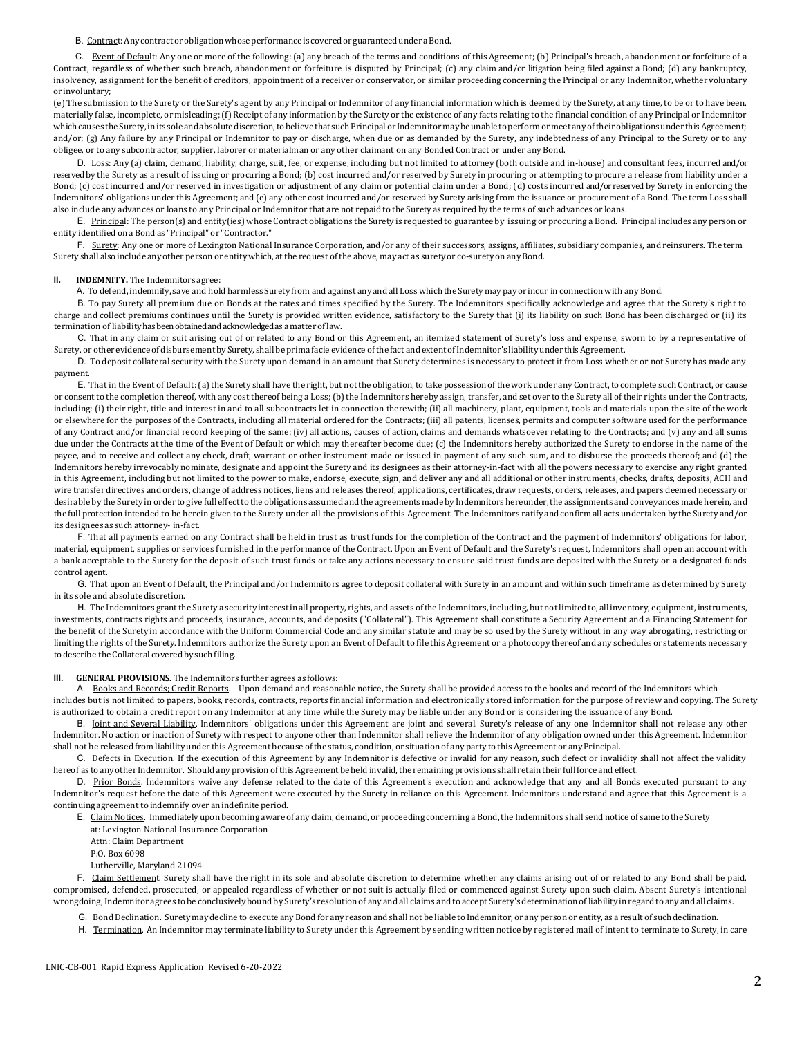B. Contract:Anycontract or obligation whose performance is coveredor guaranteedunder a Bond.

C. Event of Default: Any one or more of the following: (a) any breach of the terms and conditions of this Agreement; (b) Principal's breach, abandonment or forfeiture of a Contract, regardless of whether such breach, abandonment or forfeiture is disputed by Principal; (c) any claim and/or litigation being filed against a Bond; (d) any bankruptcy, insolvency, assignment for the benefit of creditors, appointment of a receiver or conservator, or similar proceeding concerning the Principal or any Indemnitor,whether voluntary or involuntary;

(e) The submission to the Surety or the Surety's agent by any Principal or Indemnitor of any financial information which is deemed by the Surety, at any time, to be or to have been, materially false, incomplete, or misleading; (f) Receipt of any information by the Surety or the existence of any facts relating to the financial condition of any Principal or Indemnitor which causes the Surety, in its sole and absolute discretion, to believe that such Principal or Indemnitor may be unable to perform or meet any of their obligations under this Agreement; and/or; (g) Any failure by any Principal or Indemnitor to pay or discharge, when due or as demanded by the Surety, any indebtedness of any Principal to the Surety or to any obligee, or to any subcontractor, supplier, laborer or materialman or any other claimant on any Bonded Contract or under any Bond.

D. Loss: Any (a) claim, demand, liability, charge, suit, fee, or expense, including but not limited to attorney (both outside and in-house) and consultant fees, incurred and/or reserved by the Surety as a result of issuing or procuring a Bond; (b) cost incurred and/or reserved by Surety in procuring or attempting to procure a release from liability under a Bond; (c) cost incurred and/or reserved in investigation or adjustment of any claim or potential claim under a Bond; (d) costs incurred and/or reserved by Surety in enforcing the Indemnitors' obligations under this Agreement; and (e) any other cost incurred and/or reserved by Surety arising from the issuance or procurement of a Bond. The term Loss shall also include any advances or loans to any Principal or Indemnitor that are not repaid to the Surety as required by the terms of such advances or loans.

E. Principal: The person(s) and entity(ies) whose Contract obligations the Surety is requested to guarantee by issuing or procuring a Bond. Principal includes any person or entity identified on a Bond as "Principal" or "Contractor."

F. Surety: Any one or more of Lexington National Insurance Corporation, and/or any of their successors, assigns, affiliates, subsidiary companies, and reinsurers. The term Surety shall also include any other person or entity which, at the request of the above, may act as surety or co-surety on any Bond.

### **II. INDEMNITY.** The Indemnitors agree:

A. To defend, indemnify, save and hold harmless Surety from and against anyand all Loss which the Surety maypayor incur in connection with any Bond.

B. To pay Surety all premium due on Bonds at the rates and times specified by the Surety. The Indemnitors specifically acknowledge and agree that the Surety's right to charge and collect premiums continues until the Surety is provided written evidence, satisfactory to the Surety that (i) its liability on such Bond has been discharged or (ii) its termination of liability has been obtained and acknowledgedas a matter of law.

C. That in any claim or suit arising out of or related to any Bond or this Agreement, an itemized statement of Surety's loss and expense, sworn to by a representative of Surety, or other evidence of disbursement by Surety, shall be prima facie evidence of the fact and extent of Indemnitor's liability under this Agreement.

D. To deposit collateral security with the Surety upon demand in an amount that Surety determines is necessary to protect it from Loss whether or not Surety has made any payment.

E. That in the Event of Default:(a) the Surety shall have the right, but not the obligation,to take possession of the work under anyContract, to complete such Contract, or cause or consent to the completion thereof, with any cost thereof being a Loss; (b) the Indemnitors hereby assign, transfer, and set over to the Surety all of their rights under the Contracts, including: (i) their right, title and interest in and to all subcontracts let in connection therewith; (ii) all machinery, plant, equipment, tools and materials upon the site of the work or elsewhere for the purposes of the Contracts, including all material ordered for the Contracts; (iii) all patents, licenses, permits and computer software used for the performance of any Contract and/or financial record keeping of the same; (iv) all actions, causes of action, claims and demands whatsoever relating to the Contracts; and (v) any and all sums due under the Contracts at the time of the Event of Default or which may thereafter become due; (c) the Indemnitors hereby authorized the Surety to endorse in the name of the payee, and to receive and collect any check, draft, warrant or other instrument made or issued in payment of any such sum, and to disburse the proceeds thereof; and (d) the Indemnitors hereby irrevocably nominate, designate and appoint the Surety and its designees as their attorney-in-fact with all the powers necessary to exercise any right granted in this Agreement, including but not limited to the power to make, endorse, execute, sign, and deliver any and all additional or other instruments, checks, drafts, deposits, ACH and wire transfer directives and orders, change of address notices, liens and releases thereof, applications, certificates, draw requests, orders, releases, and papers deemed necessary or desirable by the Surety in order to give full effectto the obligations assumed and the agreementsmadeby Indemnitors hereunder,the assignments andconveyances madeherein, and the full protection intended to be herein given to the Surety under all the provisions of this Agreement. The Indemnitors ratify and confirm all acts undertaken by the Surety and/or its designees as such attorney- in-fact.

F. That all payments earned on any Contract shall be held in trust as trust funds for the completion of the Contract and the payment of Indemnitors' obligations for labor, material, equipment, supplies or services furnished in the performance of the Contract. Upon an Event of Default and the Surety's request, Indemnitors shall open an account with a bank acceptable to the Surety for the deposit of such trust funds or take any actions necessary to ensure said trust funds are deposited with the Surety or a designated funds control agent.

G. That upon an Event of Default, the Principal and/or Indemnitors agree to deposit collateral with Surety in an amount and within such timeframe as determined by Surety in its sole and absolute discretion.

H. The Indemnitors grant the Surety a security interestin all property, rights, and assets of the Indemnitors, including, but notlimited to, all inventory, equipment, instruments, investments, contracts rights and proceeds, insurance, accounts, and deposits ("Collateral"). This Agreement shall constitute a Security Agreement and a Financing Statement for the benefit of the Surety in accordance with the Uniform Commercial Code and any similar statute and may be so used by the Surety without in any way abrogating, restricting or limiting the rights of the Surety. Indemnitors authorize the Surety upon an Event of Default to file this Agreement or a photocopy thereof and any schedules or statements necessary to describe the Collateral covered by such filing.

#### **III. GENERAL PROVISIONS**. The Indemnitors further agrees as follows:

A. Books and Records; Credit Reports. Upon demand and reasonable notice, the Surety shall be provided access to the books and record of the Indemnitors which includes but is not limited to papers, books, records, contracts, reports financial information and electronically stored information for the purpose of review and copying. The Surety is authorized to obtain a credit report on any Indemnitor at any time while the Surety may be liable under any Bond or is considering the issuance of any Bond.

B. Joint and Several Liability. Indemnitors' obligations under this Agreement are joint and several. Surety's release of any one Indemnitor shall not release any other Indemnitor. No action or inaction of Surety with respect to anyone other than Indemnitor shall relieve the Indemnitor of any obligation owned under this Agreement. Indemnitor shall not be released from liability under this Agreement because of the status, condition, or situation of any party to this Agreement or any Principal.

C. Defects in Execution. If the execution of this Agreement by any Indemnitor is defective or invalid for any reason, such defect or invalidity shall not affect the validity hereof as to anyother Indemnitor. Should any provision ofthisAgreement be held invalid, the remaining provisions shall retain their full force and effect.

D. Prior Bonds. Indemnitors waive any defense related to the date of this Agreement's execution and acknowledge that any and all Bonds executed pursuant to any Indemnitor's request before the date of this Agreement were executed by the Surety in reliance on this Agreement. Indemnitors understand and agree that this Agreement is a continuing agreement to indemnify over anindefinite period.

E. Claim Notices. Immediatelyuponbecoming awareof anyclaim, demand, or proceeding concerning a Bond, the Indemnitors shall send notice of same to the Surety at: Lexington National Insurance Corporation

Attn: Claim Department

P.O. Box 6098

Lutherville, Maryland 21094

F. Claim Settlement. Surety shall have the right in its sole and absolute discretion to determine whether any claims arising out of or related to any Bond shall be paid, compromised, defended, prosecuted, or appealed regardless of whether or not suit is actually filed or commenced against Surety upon such claim. Absent Surety's intentional wrongdoing, Indemnitor agrees to be conclusively bound by Surety's resolution of any and all claims and to accept Surety's determination of liability in regard to any and all claims.

G. Bond Declination. Surety may decline to execute any Bond for any reason and shall not be liable to Indemnitor, or any person or entity, as a result of such declination.

H. Termination. An Indemnitor may terminate liability to Surety under this Agreement by sending written notice by registered mail of intent to terminate to Surety, in care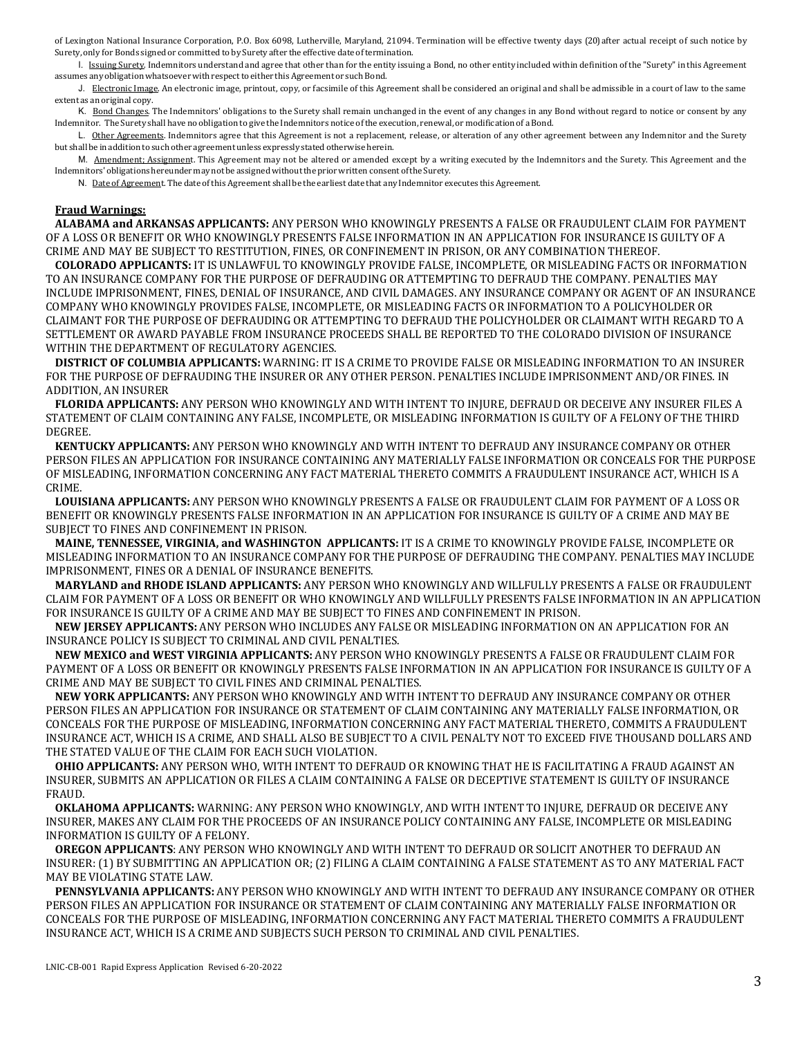of Lexington National Insurance Corporation, P.O. Box 6098, Lutherville, Maryland, 21094. Termination will be effective twenty days (20) after actual receipt of such notice by Surety, only for Bonds signed or committed to by Surety after the effective date of termination.

1. Issuing Surety. Indemnitors understand and agree that other than for the entity issuing a Bond, no other entity included within definition of the "Surety" in this Agreement assumes any obligation whatsoever with respect to either this Agreement or such Bond.

J. Electronic Image. An electronic image, printout, copy, or facsimile of this Agreement shall be considered an original and shall be admissible in a court of law to the same extent as anoriginal copy.

K. Bond Changes. The Indemnitors' obligations to the Surety shall remain unchanged in the event of any changes in any Bond without regard to notice or consent by any Indemnitor. The Surety shall have no obligation to give the Indemnitors notice of the execution, renewal, or modificationof a Bond.

L. Other Agreements. Indemnitors agree that this Agreement is not a replacement, release, or alteration of any other agreement between any Indemnitor and the Surety but shall be inadditionto such other agreement unless expresslystatedotherwiseherein.

M. Amendment: Assignment. This Agreement may not be altered or amended except by a writing executed by the Indemnitors and the Surety. This Agreement and the Indemnitors'obligations hereundermaynot be assigned without the priorwrittenconsent of the Surety.

N. Date of Agreement. The date of this Agreement shall be the earliest date that any Indemnitor executes this Agreement.

### **Fraud Warnings:**

**ALABAMA and ARKANSAS APPLICANTS:** ANY PERSON WHO KNOWINGLY PRESENTS A FALSE OR FRAUDULENT CLAIM FOR PAYMENT OF A LOSS OR BENEFIT OR WHO KNOWINGLY PRESENTS FALSE INFORMATION IN AN APPLICATION FOR INSURANCE IS GUILTY OF A CRIME AND MAY BE SUBJECT TO RESTITUTION, FINES, OR CONFINEMENT IN PRISON, OR ANY COMBINATION THEREOF.

**COLORADO APPLICANTS:** IT IS UNLAWFUL TO KNOWINGLY PROVIDE FALSE, INCOMPLETE, OR MISLEADING FACTS OR INFORMATION TO AN INSURANCE COMPANY FOR THE PURPOSE OF DEFRAUDING OR ATTEMPTING TO DEFRAUD THE COMPANY. PENALTIES MAY INCLUDE IMPRISONMENT, FINES, DENIAL OF INSURANCE, AND CIVIL DAMAGES. ANY INSURANCE COMPANY OR AGENT OF AN INSURANCE COMPANY WHO KNOWINGLY PROVIDES FALSE, INCOMPLETE, OR MISLEADING FACTS OR INFORMATION TO A POLICYHOLDER OR CLAIMANT FOR THE PURPOSE OF DEFRAUDING OR ATTEMPTING TO DEFRAUD THE POLICYHOLDER OR CLAIMANT WITH REGARD TO A SETTLEMENT OR AWARD PAYABLE FROM INSURANCE PROCEEDS SHALL BE REPORTED TO THE COLORADO DIVISION OF INSURANCE WITHIN THE DEPARTMENT OF REGULATORY AGENCIES.

**DISTRICT OF COLUMBIA APPLICANTS:** WARNING: IT IS A CRIME TO PROVIDE FALSE OR MISLEADING INFORMATION TO AN INSURER FOR THE PURPOSE OF DEFRAUDING THE INSURER OR ANY OTHER PERSON. PENALTIES INCLUDE IMPRISONMENT AND/OR FINES. IN ADDITION, AN INSURER

**FLORIDA APPLICANTS:** ANY PERSON WHO KNOWINGLY AND WITH INTENT TO INJURE, DEFRAUD OR DECEIVE ANY INSURER FILES A STATEMENT OF CLAIM CONTAINING ANY FALSE, INCOMPLETE, OR MISLEADING INFORMATION IS GUILTY OF A FELONY OF THE THIRD DEGREE.

**KENTUCKY APPLICANTS:** ANY PERSON WHO KNOWINGLY AND WITH INTENT TO DEFRAUD ANY INSURANCE COMPANY OR OTHER PERSON FILES AN APPLICATION FOR INSURANCE CONTAINING ANY MATERIALLY FALSE INFORMATION OR CONCEALS FOR THE PURPOSE OF MISLEADING, INFORMATION CONCERNING ANY FACT MATERIAL THERETO COMMITS A FRAUDULENT INSURANCE ACT, WHICH IS A CRIME.

**LOUISIANA APPLICANTS:** ANY PERSON WHO KNOWINGLY PRESENTS A FALSE OR FRAUDULENT CLAIM FOR PAYMENT OF A LOSS OR BENEFIT OR KNOWINGLY PRESENTS FALSE INFORMATION IN AN APPLICATION FOR INSURANCE IS GUILTY OF A CRIME AND MAY BE SUBJECT TO FINES AND CONFINEMENT IN PRISON.

**MAINE, TENNESSEE, VIRGINIA, and WASHINGTON APPLICANTS:** IT IS A CRIME TO KNOWINGLY PROVIDE FALSE, INCOMPLETE OR MISLEADING INFORMATION TO AN INSURANCE COMPANY FOR THE PURPOSE OF DEFRAUDING THE COMPANY. PENALTIES MAY INCLUDE IMPRISONMENT, FINES OR A DENIAL OF INSURANCE BENEFITS.

**MARYLAND and RHODE ISLAND APPLICANTS:** ANY PERSON WHO KNOWINGLY AND WILLFULLY PRESENTS A FALSE OR FRAUDULENT CLAIM FOR PAYMENT OF A LOSS OR BENEFIT OR WHO KNOWINGLY AND WILLFULLY PRESENTS FALSE INFORMATION IN AN APPLICATION FOR INSURANCE IS GUILTY OF A CRIME AND MAY BE SUBJECT TO FINES AND CONFINEMENT IN PRISON.

**NEW JERSEY APPLICANTS:** ANY PERSON WHO INCLUDES ANY FALSE OR MISLEADING INFORMATION ON AN APPLICATION FOR AN INSURANCE POLICY IS SUBJECT TO CRIMINAL AND CIVIL PENALTIES.

**NEW MEXICO and WEST VIRGINIA APPLICANTS:** ANY PERSON WHO KNOWINGLY PRESENTS A FALSE OR FRAUDULENT CLAIM FOR PAYMENT OF A LOSS OR BENEFIT OR KNOWINGLY PRESENTS FALSE INFORMATION IN AN APPLICATION FOR INSURANCE IS GUILTY OF A CRIME AND MAY BE SUBJECT TO CIVIL FINES AND CRIMINAL PENALTIES.

**NEW YORK APPLICANTS:** ANY PERSON WHO KNOWINGLY AND WITH INTENT TO DEFRAUD ANY INSURANCE COMPANY OR OTHER PERSON FILES AN APPLICATION FOR INSURANCE OR STATEMENT OF CLAIM CONTAINING ANY MATERIALLY FALSE INFORMATION, OR CONCEALS FOR THE PURPOSE OF MISLEADING, INFORMATION CONCERNING ANY FACT MATERIAL THERETO, COMMITS A FRAUDULENT INSURANCE ACT, WHICH IS A CRIME, AND SHALL ALSO BE SUBJECT TO A CIVIL PENALTY NOT TO EXCEED FIVE THOUSAND DOLLARS AND THE STATED VALUE OF THE CLAIM FOR EACH SUCH VIOLATION.

**OHIO APPLICANTS:** ANY PERSON WHO, WITH INTENT TO DEFRAUD OR KNOWING THAT HE IS FACILITATING A FRAUD AGAINST AN INSURER, SUBMITS AN APPLICATION OR FILES A CLAIM CONTAINING A FALSE OR DECEPTIVE STATEMENT IS GUILTY OF INSURANCE FRAUD.

**OKLAHOMA APPLICANTS:** WARNING: ANY PERSON WHO KNOWINGLY, AND WITH INTENT TO INJURE, DEFRAUD OR DECEIVE ANY INSURER, MAKES ANY CLAIM FOR THE PROCEEDS OF AN INSURANCE POLICY CONTAINING ANY FALSE, INCOMPLETE OR MISLEADING INFORMATION IS GUILTY OF A FELONY.

**OREGON APPLICANTS**: ANY PERSON WHO KNOWINGLY AND WITH INTENT TO DEFRAUD OR SOLICIT ANOTHER TO DEFRAUD AN INSURER: (1) BY SUBMITTING AN APPLICATION OR; (2) FILING A CLAIM CONTAINING A FALSE STATEMENT AS TO ANY MATERIAL FACT MAY BE VIOLATING STATE LAW.

**PENNSYLVANIA APPLICANTS:** ANY PERSON WHO KNOWINGLY AND WITH INTENT TO DEFRAUD ANY INSURANCE COMPANY OR OTHER PERSON FILES AN APPLICATION FOR INSURANCE OR STATEMENT OF CLAIM CONTAINING ANY MATERIALLY FALSE INFORMATION OR CONCEALS FOR THE PURPOSE OF MISLEADING, INFORMATION CONCERNING ANY FACT MATERIAL THERETO COMMITS A FRAUDULENT INSURANCE ACT, WHICH IS A CRIME AND SUBJECTS SUCH PERSON TO CRIMINAL AND CIVIL PENALTIES.